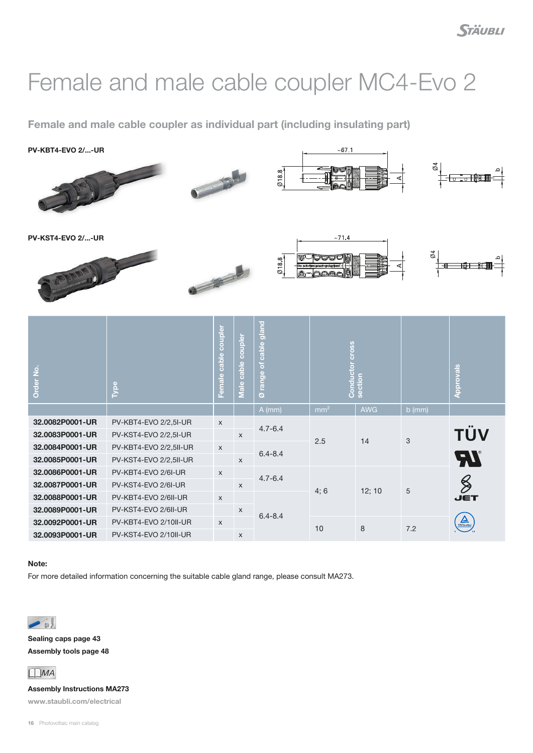## Female and male cable coupler MC4-Evo 2

Female and male cable coupler as individual part (including insulating part)

PV-KBT4-EVO 2/...-UR







PV-KST4-EVO 2/...-UR





| Order No.       | Type                   | coupler<br>cable<br>Female | coupler<br>$\omega$<br><b>Cabl</b><br>$\bullet$<br>$\frac{1}{2}$ | gland<br>cable<br><mark>ا</mark> ح<br>range<br>ø | <b>SSO</b>      | <b>Conductor</b> |          | <b>Approvals</b>       |
|-----------------|------------------------|----------------------------|------------------------------------------------------------------|--------------------------------------------------|-----------------|------------------|----------|------------------------|
|                 |                        |                            |                                                                  | $A$ (mm)                                         | mm <sup>2</sup> | <b>AWG</b>       | $b$ (mm) |                        |
| 32.0082P0001-UR | PV-KBT4-EVO 2/2,5I-UR  | $\mathsf X$                |                                                                  | $4.7 - 6.4$<br>$6.4 - 8.4$                       | 2.5             | 14               | 3        |                        |
| 32.0083P0001-UR | PV-KST4-EVO 2/2,5I-UR  |                            | $\mathsf{x}$                                                     |                                                  |                 |                  |          | TÜV                    |
| 32.0084P0001-UR | PV-KBT4-EVO 2/2,5II-UR | $\mathsf{x}$               |                                                                  |                                                  |                 |                  |          |                        |
| 32.0085P0001-UR | PV-KST4-EVO 2/2,5II-UR |                            | $\mathsf{x}$                                                     |                                                  |                 |                  |          | <b>AI</b>              |
| 32.0086P0001-UR | PV-KBT4-EVO 2/6I-UR    | $\boldsymbol{\mathsf{X}}$  |                                                                  | $4.7 - 6.4$                                      | 4;6             | 12; 10           | 5        |                        |
| 32.0087P0001-UR | PV-KST4-EVO 2/6I-UR    |                            | $\mathsf{x}$                                                     |                                                  |                 |                  |          | $\frac{1}{2}$          |
| 32.0088P0001-UR | PV-KBT4-EVO 2/6II-UR   | $\boldsymbol{\mathsf{X}}$  |                                                                  | $6.4 - 8.4$                                      |                 |                  |          | <b>JET</b>             |
| 32.0089P0001-UR | PV-KST4-EVO 2/6II-UR   |                            | $\mathsf{x}$                                                     |                                                  |                 |                  |          |                        |
| 32.0092P0001-UR | PV-KBT4-EVO 2/10II-UR  | $\mathsf{x}$               |                                                                  |                                                  | 10              | 8                | 7.2      | $\sum_{\text{normal}}$ |
| 32.0093P0001-UR | PV-KST4-EVO 2/10II-UR  |                            | $\mathsf{x}$                                                     |                                                  |                 |                  |          |                        |

## Note:

For more detailed information concerning the suitable cable gland range, please consult MA273.



Sealing caps page [43](#page--1-0) Assembly tools page [48](#page--1-0)



Assembly Instructions MA273 www.staubli.com/electrical